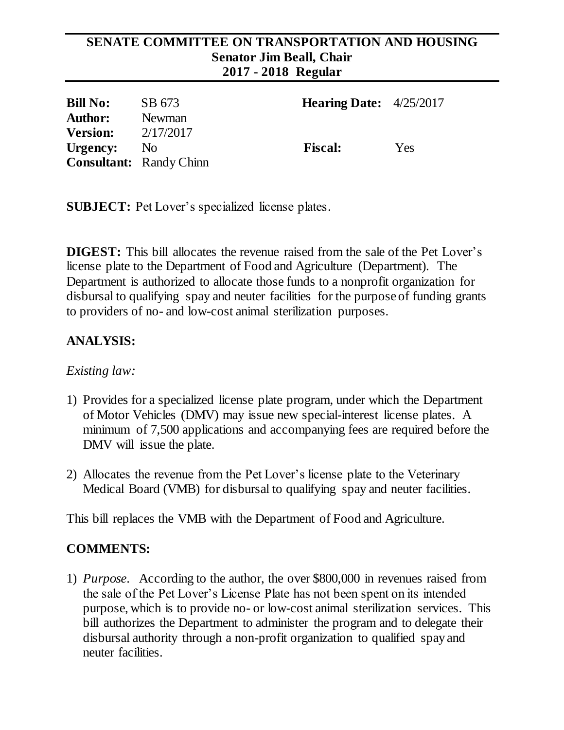#### **SENATE COMMITTEE ON TRANSPORTATION AND HOUSING Senator Jim Beall, Chair 2017 - 2018 Regular**

| <b>Bill No:</b> | SB 673                         | <b>Hearing Date:</b> $4/25/2017$ |     |
|-----------------|--------------------------------|----------------------------------|-----|
| <b>Author:</b>  | Newman                         |                                  |     |
| <b>Version:</b> | 2/17/2017                      |                                  |     |
| Urgency:        | N <sub>o</sub>                 | <b>Fiscal:</b>                   | Yes |
|                 | <b>Consultant:</b> Randy Chinn |                                  |     |

**SUBJECT:** Pet Lover's specialized license plates.

**DIGEST:** This bill allocates the revenue raised from the sale of the Pet Lover's license plate to the Department of Food and Agriculture (Department). The Department is authorized to allocate those funds to a nonprofit organization for disbursal to qualifying spay and neuter facilities for the purpose of funding grants to providers of no- and low-cost animal sterilization purposes.

# **ANALYSIS:**

### *Existing law:*

- 1) Provides for a specialized license plate program, under which the Department of Motor Vehicles (DMV) may issue new special-interest license plates. A minimum of 7,500 applications and accompanying fees are required before the DMV will issue the plate.
- 2) Allocates the revenue from the Pet Lover's license plate to the Veterinary Medical Board (VMB) for disbursal to qualifying spay and neuter facilities.

This bill replaces the VMB with the Department of Food and Agriculture.

### **COMMENTS:**

1) *Purpose*. According to the author, the over \$800,000 in revenues raised from the sale of the Pet Lover's License Plate has not been spent on its intended purpose, which is to provide no- or low-cost animal sterilization services. This bill authorizes the Department to administer the program and to delegate their disbursal authority through a non-profit organization to qualified spay and neuter facilities.